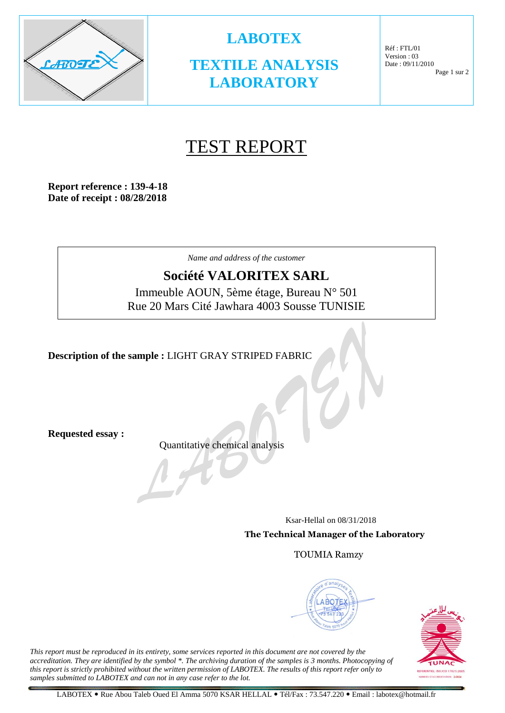

**TEXTILE ANALYSIS LABORATORY**

**LABOTEX**

Réf : FTL/01 Version : 03 Date : 09/11/2010 Page 1 sur 2

# TEST REPORT

**Report reference : 139-4-18 Date of receipt : 08/28/2018**

*Name and address of the customer*

### **Société VALORITEX SARL**

Immeuble AOUN, 5ème étage, Bureau N° 501 Rue 20 Mars Cité Jawhara 4003 Sousse TUNISIE

**Description of the sample :** LIGHT GRAY STRIPED FABRIC

**Requested essay :**

Quantitative chemical analysis

 Ksar-Hellal on 08/31/2018 **The Technical Manager of the Laboratory**

TOUMIA Ramzy





*This report must be reproduced in its entirety, some services reported in this document are not covered by the accreditation. They are identified by the symbol \*. The archiving duration of the samples is 3 months. Photocopying of this report is strictly prohibited without the written permission of LABOTEX. The results of this report refer only to samples submitted to LABOTEX and can not in any case refer to the lot.*